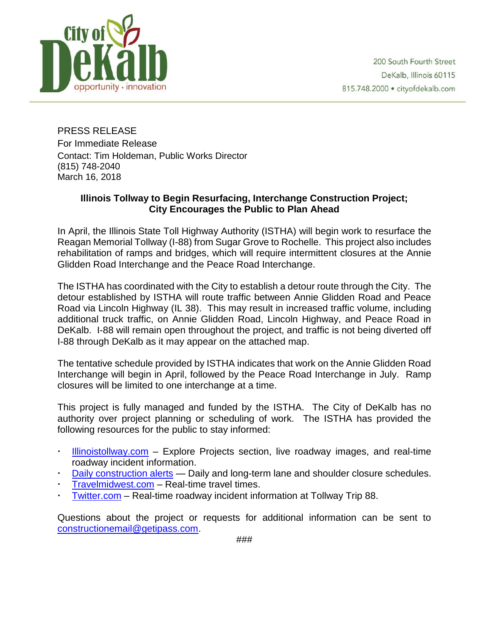

PRESS RELEASE For Immediate Release Contact: Tim Holdeman, Public Works Director (815) 748-2040 March 16, 2018

## **Illinois Tollway to Begin Resurfacing, Interchange Construction Project; City Encourages the Public to Plan Ahead**

In April, the Illinois State Toll Highway Authority (ISTHA) will begin work to resurface the Reagan Memorial Tollway (I-88) from Sugar Grove to Rochelle. This project also includes rehabilitation of ramps and bridges, which will require intermittent closures at the Annie Glidden Road Interchange and the Peace Road Interchange.

The ISTHA has coordinated with the City to establish a detour route through the City. The detour established by ISTHA will route traffic between Annie Glidden Road and Peace Road via Lincoln Highway (IL 38). This may result in increased traffic volume, including additional truck traffic, on Annie Glidden Road, Lincoln Highway, and Peace Road in DeKalb. I-88 will remain open throughout the project, and traffic is not being diverted off I-88 through DeKalb as it may appear on the attached map.

The tentative schedule provided by ISTHA indicates that work on the Annie Glidden Road Interchange will begin in April, followed by the Peace Road Interchange in July. Ramp closures will be limited to one interchange at a time.

This project is fully managed and funded by the ISTHA. The City of DeKalb has no authority over project planning or scheduling of work. The ISTHA has provided the following resources for the public to stay informed:

- [Illinoistollway.com](http://www.illinoistollway.com/) Explore Projects section, live roadway images, and real-time roadway incident information.
- [Daily construction alerts](https://www.illinoistollway.com/media-center/construction-alerts) Daily and long-term lane and shoulder closure schedules.
- [Travelmidwest.com](http://www.travelmidwest.com/) Real-time travel times.
- [Twitter.com](https://twitter.com/I_88_Tollway) Real-time roadway incident information at Tollway Trip 88.

Questions about the project or requests for additional information can be sent to [constructionemail@getipass.com.](mailto:constructionemail@getipass.com)